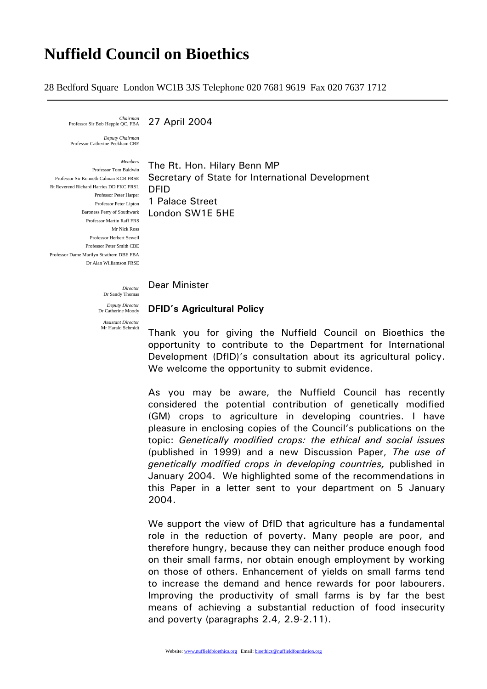## **Nuffield Council on Bioethics**

28 Bedford Square London WC1B 3JS Telephone 020 7681 9619 Fax 020 7637 1712

*Chairman* 

27 April 2004

*Deputy Chairman*  Professor Catherine Peckham CBE

*Members* Professor Tom Baldwin Rt Reverend Richard Harries DD FKC FRSL Professor Peter Harper Professor Martin Raff FRS Mr Nick Ross Professor Herbert Sewell Professor Peter Smith CBE Professor Dame Marilyn Strathern DBE FBA Dr Alan Williamson FRSE

Professor Sir Kenneth Calman KCB FRSE Secretary of State for International Development Professor Peter Lipton 1 Palace Street Baroness Perry of Southwark **London SW1E 5HE** The Rt. Hon. Hilary Benn MP DFID

Dear Minister

**DFID's Agricultural Policy** 

Dr Sandy Thomas *Deputy Director*  Dr Catherine Moody

*Director* 

*Assistant Director*  Mr Harald Schmidt

Thank you for giving the Nuffield Council on Bioethics the opportunity to contribute to the Department for International Development (DfID)'s consultation about its agricultural policy. We welcome the opportunity to submit evidence.

As you may be aware, the Nuffield Council has recently considered the potential contribution of genetically modified (GM) crops to agriculture in developing countries. I have pleasure in enclosing copies of the Council's publications on the topic: *Genetically modified crops: the ethical and social issues*  (published in 1999) and a new Discussion Paper, *The use of genetically modified crops in developing countries,* published in January 2004. We highlighted some of the recommendations in this Paper in a letter sent to your department on 5 January 2004.

We support the view of DfID that agriculture has a fundamental role in the reduction of poverty. Many people are poor, and therefore hungry, because they can neither produce enough food on their small farms, nor obtain enough employment by working on those of others. Enhancement of yields on small farms tend to increase the demand and hence rewards for poor labourers. Improving the productivity of small farms is by far the best means of achieving a substantial reduction of food insecurity and poverty (paragraphs 2.4, 2.9-2.11).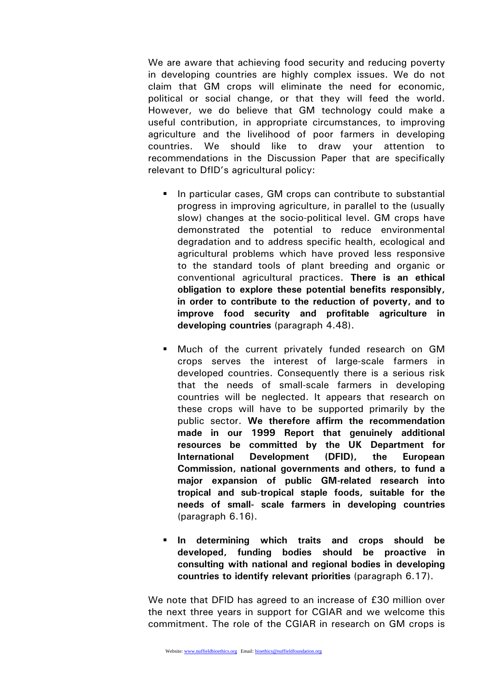We are aware that achieving food security and reducing poverty in developing countries are highly complex issues. We do not claim that GM crops will eliminate the need for economic, political or social change, or that they will feed the world. However, we do believe that GM technology could make a useful contribution, in appropriate circumstances, to improving agriculture and the livelihood of poor farmers in developing countries. We should like to draw your attention to recommendations in the Discussion Paper that are specifically relevant to DfID's agricultural policy:

- In particular cases, GM crops can contribute to substantial progress in improving agriculture, in parallel to the (usually slow) changes at the socio-political level. GM crops have demonstrated the potential to reduce environmental degradation and to address specific health, ecological and agricultural problems which have proved less responsive to the standard tools of plant breeding and organic or conventional agricultural practices. **There is an ethical obligation to explore these potential benefits responsibly, in order to contribute to the reduction of poverty, and to improve food security and profitable agriculture in developing countries** (paragraph 4.48).
- Much of the current privately funded research on GM crops serves the interest of large-scale farmers in developed countries. Consequently there is a serious risk that the needs of small-scale farmers in developing countries will be neglected. It appears that research on these crops will have to be supported primarily by the public sector. **We therefore affirm the recommendation made in our 1999 Report that genuinely additional resources be committed by the UK Department for International Development (DFID), the European Commission, national governments and others, to fund a major expansion of public GM-related research into tropical and sub-tropical staple foods, suitable for the needs of small- scale farmers in developing countries**  (paragraph 6.16).
- **In determining which traits and crops should be developed, funding bodies should be proactive in consulting with national and regional bodies in developing countries to identify relevant priorities** (paragraph 6.17).

We note that DFID has agreed to an increase of £30 million over the next three years in support for CGIAR and we welcome this commitment. The role of the CGIAR in research on GM crops is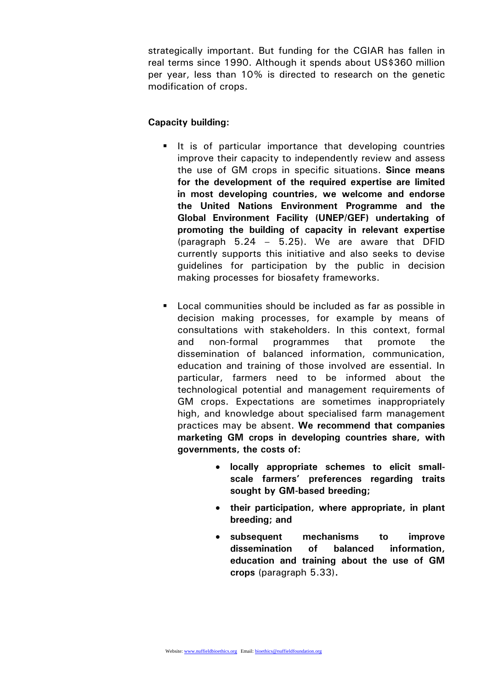strategically important. But funding for the CGIAR has fallen in real terms since 1990. Although it spends about US\$360 million per year, less than 10% is directed to research on the genetic modification of crops.

## **Capacity building:**

- It is of particular importance that developing countries improve their capacity to independently review and assess the use of GM crops in specific situations. **Since means for the development of the required expertise are limited in most developing countries, we welcome and endorse the United Nations Environment Programme and the Global Environment Facility (UNEP/GEF) undertaking of promoting the building of capacity in relevant expertise**  (paragraph 5.24 – 5.25). We are aware that DFID currently supports this initiative and also seeks to devise guidelines for participation by the public in decision making processes for biosafety frameworks.
- **Local communities should be included as far as possible in** decision making processes, for example by means of consultations with stakeholders. In this context, formal and non-formal programmes that promote the dissemination of balanced information, communication, education and training of those involved are essential. In particular, farmers need to be informed about the technological potential and management requirements of GM crops. Expectations are sometimes inappropriately high, and knowledge about specialised farm management practices may be absent. **We recommend that companies marketing GM crops in developing countries share, with governments, the costs of:** 
	- **locally appropriate schemes to elicit smallscale farmers' preferences regarding traits sought by GM-based breeding;**
	- **their participation, where appropriate, in plant breeding; and**
	- **subsequent mechanisms to improve dissemination of balanced information, education and training about the use of GM crops** (paragraph 5.33)**.**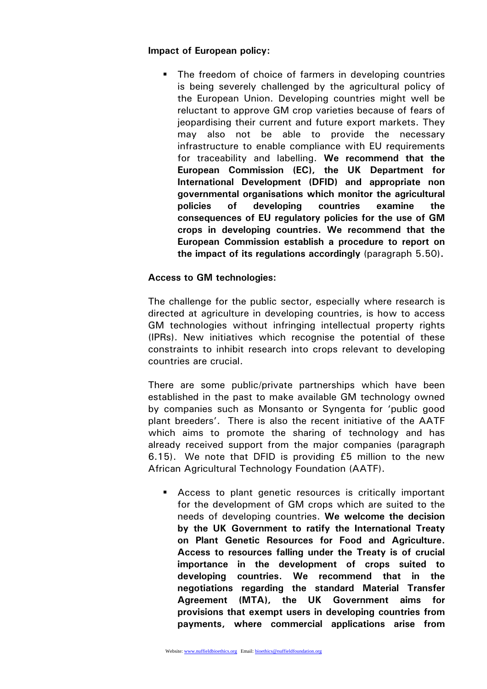## **Impact of European policy:**

**The freedom of choice of farmers in developing countries** is being severely challenged by the agricultural policy of the European Union. Developing countries might well be reluctant to approve GM crop varieties because of fears of jeopardising their current and future export markets. They may also not be able to provide the necessary infrastructure to enable compliance with EU requirements for traceability and labelling. **We recommend that the European Commission (EC), the UK Department for International Development (DFID) and appropriate non governmental organisations which monitor the agricultural policies of developing countries examine the consequences of EU regulatory policies for the use of GM crops in developing countries. We recommend that the European Commission establish a procedure to report on the impact of its regulations accordingly** (paragraph 5.50)**.** 

## **Access to GM technologies:**

The challenge for the public sector, especially where research is directed at agriculture in developing countries, is how to access GM technologies without infringing intellectual property rights (IPRs). New initiatives which recognise the potential of these constraints to inhibit research into crops relevant to developing countries are crucial.

There are some public/private partnerships which have been established in the past to make available GM technology owned by companies such as Monsanto or Syngenta for 'public good plant breeders'. There is also the recent initiative of the AATF which aims to promote the sharing of technology and has already received support from the major companies (paragraph 6.15).We note that DFID is providing £5 million to the new African Agricultural Technology Foundation (AATF).

 Access to plant genetic resources is critically important for the development of GM crops which are suited to the needs of developing countries. **We welcome the decision by the UK Government to ratify the International Treaty on Plant Genetic Resources for Food and Agriculture. Access to resources falling under the Treaty is of crucial importance in the development of crops suited to developing countries. We recommend that in the negotiations regarding the standard Material Transfer Agreement (MTA), the UK Government aims for provisions that exempt users in developing countries from payments, where commercial applications arise from**